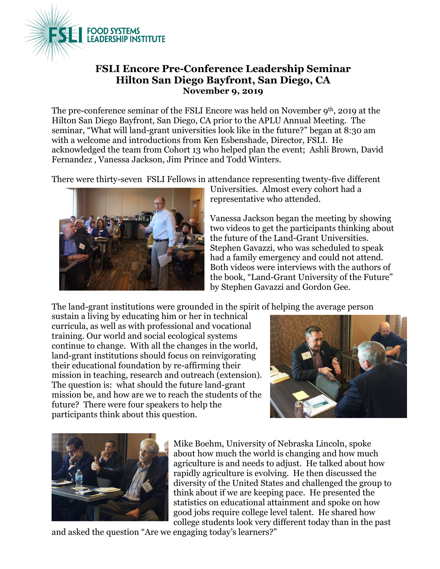

## **FSLI Encore Pre-Conference Leadership Seminar Hilton San Diego Bayfront, San Diego, CA November 9, 2019**

The pre-conference seminar of the FSLI Encore was held on November 9<sup>th</sup>, 2019 at the Hilton San Diego Bayfront, San Diego, CA prior to the APLU Annual Meeting. The seminar, "What will land-grant universities look like in the future?" began at 8:30 am with a welcome and introductions from Ken Esbenshade, Director, FSLI. He acknowledged the team from Cohort 13 who helped plan the event; Ashli Brown, David Fernandez , Vanessa Jackson, Jim Prince and Todd Winters.

There were thirty-seven FSLI Fellows in attendance representing twenty-five different



Universities. Almost every cohort had a representative who attended.

Vanessa Jackson began the meeting by showing two videos to get the participants thinking about the future of the Land-Grant Universities. Stephen Gavazzi, who was scheduled to speak had a family emergency and could not attend. Both videos were interviews with the authors of the book, "Land-Grant University of the Future" by Stephen Gavazzi and Gordon Gee.

The land-grant institutions were grounded in the spirit of helping the average person

sustain a living by educating him or her in technical curricula, as well as with professional and vocational training. Our world and social ecological systems continue to change. With all the changes in the world, land-grant institutions should focus on reinvigorating their educational foundation by re-affirming their mission in teaching, research and outreach (extension). The question is: what should the future land-grant mission be, and how are we to reach the students of the future? There were four speakers to help the participants think about this question.





Mike Boehm, University of Nebraska Lincoln, spoke about how much the world is changing and how much agriculture is and needs to adjust. He talked about how rapidly agriculture is evolving. He then discussed the diversity of the United States and challenged the group to think about if we are keeping pace. He presented the statistics on educational attainment and spoke on how good jobs require college level talent. He shared how college students look very different today than in the past

and asked the question "Are we engaging today's learners?"